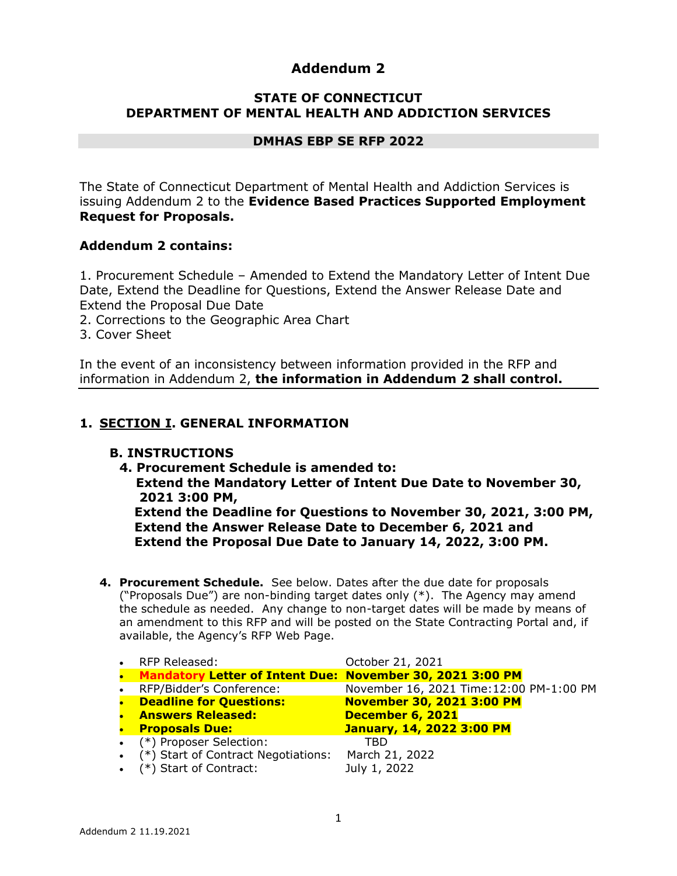# **Addendum 2**

## **STATE OF CONNECTICUT DEPARTMENT OF MENTAL HEALTH AND ADDICTION SERVICES**

#### **DMHAS EBP SE RFP 2022**

The State of Connecticut Department of Mental Health and Addiction Services is issuing Addendum 2 to the **Evidence Based Practices Supported Employment Request for Proposals.**

### **Addendum 2 contains:**

1. Procurement Schedule – Amended to Extend the Mandatory Letter of Intent Due Date, Extend the Deadline for Questions, Extend the Answer Release Date and Extend the Proposal Due Date

- 2. Corrections to the Geographic Area Chart
- 3. Cover Sheet

In the event of an inconsistency between information provided in the RFP and information in Addendum 2, **the information in Addendum 2 shall control.**

#### **1. SECTION I. GENERAL INFORMATION**

#### **B. INSTRUCTIONS**

- **4. Procurement Schedule is amended to: Extend the Mandatory Letter of Intent Due Date to November 30, 2021 3:00 PM, Extend the Deadline for Questions to November 30, 2021, 3:00 PM, Extend the Answer Release Date to December 6, 2021 and Extend the Proposal Due Date to January 14, 2022, 3:00 PM.**
- **4. Procurement Schedule.** See below. Dates after the due date for proposals ("Proposals Due") are non-binding target dates only (\*). The Agency may amend the schedule as needed. Any change to non-target dates will be made by means of an amendment to this RFP and will be posted on the State Contracting Portal and, if available, the Agency's RFP Web Page.

|           | • RFP Released:                                             | October 21, 2021                         |
|-----------|-------------------------------------------------------------|------------------------------------------|
|           | • Mandatory Letter of Intent Due: November 30, 2021 3:00 PM |                                          |
|           | • RFP/Bidder's Conference:                                  | November 16, 2021 Time: 12:00 PM-1:00 PM |
| $\bullet$ | <b>Deadline for Questions:</b>                              | <b>November 30, 2021 3:00 PM</b>         |
|           | • Answers Released:                                         | December 6, 2021                         |
|           | • Proposals Due:                                            | <b>January, 14, 2022 3:00 PM</b>         |
|           | • (*) Proposer Selection:                                   | TBD                                      |
|           | • (*) Start of Contract Negotiations:                       | March 21, 2022                           |
|           | $\bullet$ (*) Start of Contract:                            | July 1, 2022                             |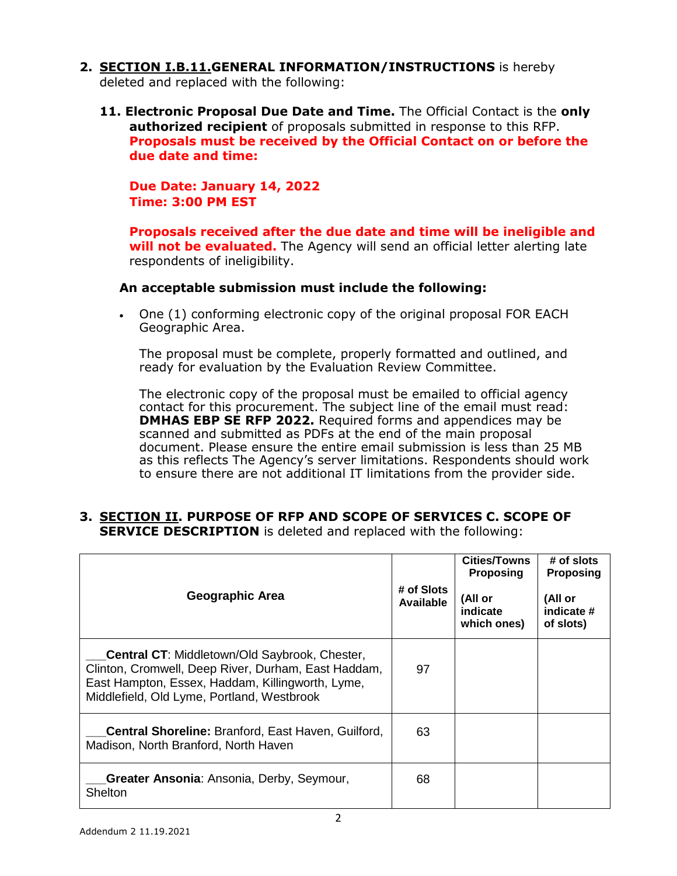- **2. SECTION I.B.11.GENERAL INFORMATION/INSTRUCTIONS** is hereby deleted and replaced with the following:
	- **11. Electronic Proposal Due Date and Time.** The Official Contact is the **only authorized recipient** of proposals submitted in response to this RFP. **Proposals must be received by the Official Contact on or before the due date and time:**

**Due Date: January 14, 2022 Time: 3:00 PM EST** 

**Proposals received after the due date and time will be ineligible and will not be evaluated.** The Agency will send an official letter alerting late respondents of ineligibility.

#### **An acceptable submission must include the following:**

 One (1) conforming electronic copy of the original proposal FOR EACH Geographic Area.

The proposal must be complete, properly formatted and outlined, and ready for evaluation by the Evaluation Review Committee.

The electronic copy of the proposal must be emailed to official agency contact for this procurement. The subject line of the email must read: **DMHAS EBP SE RFP 2022.** Required forms and appendices may be scanned and submitted as PDFs at the end of the main proposal document. Please ensure the entire email submission is less than 25 MB as this reflects The Agency's server limitations. Respondents should work to ensure there are not additional IT limitations from the provider side.

**3. SECTION II. PURPOSE OF RFP AND SCOPE OF SERVICES C. SCOPE OF SERVICE DESCRIPTION** is deleted and replaced with the following:

| <b>Geographic Area</b>                                                                                                                                                                                        | # of Slots<br>Available | <b>Cities/Towns</b><br><b>Proposing</b><br>(All or<br>indicate<br>which ones) | # of slots<br><b>Proposing</b><br>(All or<br>indicate #<br>of slots) |
|---------------------------------------------------------------------------------------------------------------------------------------------------------------------------------------------------------------|-------------------------|-------------------------------------------------------------------------------|----------------------------------------------------------------------|
| <b>Central CT:</b> Middletown/Old Saybrook, Chester,<br>Clinton, Cromwell, Deep River, Durham, East Haddam,<br>East Hampton, Essex, Haddam, Killingworth, Lyme,<br>Middlefield, Old Lyme, Portland, Westbrook | 97                      |                                                                               |                                                                      |
| <b>Central Shoreline: Branford, East Haven, Guilford,</b><br>Madison, North Branford, North Haven                                                                                                             | 63                      |                                                                               |                                                                      |
| Greater Ansonia: Ansonia, Derby, Seymour,<br>Shelton                                                                                                                                                          | 68                      |                                                                               |                                                                      |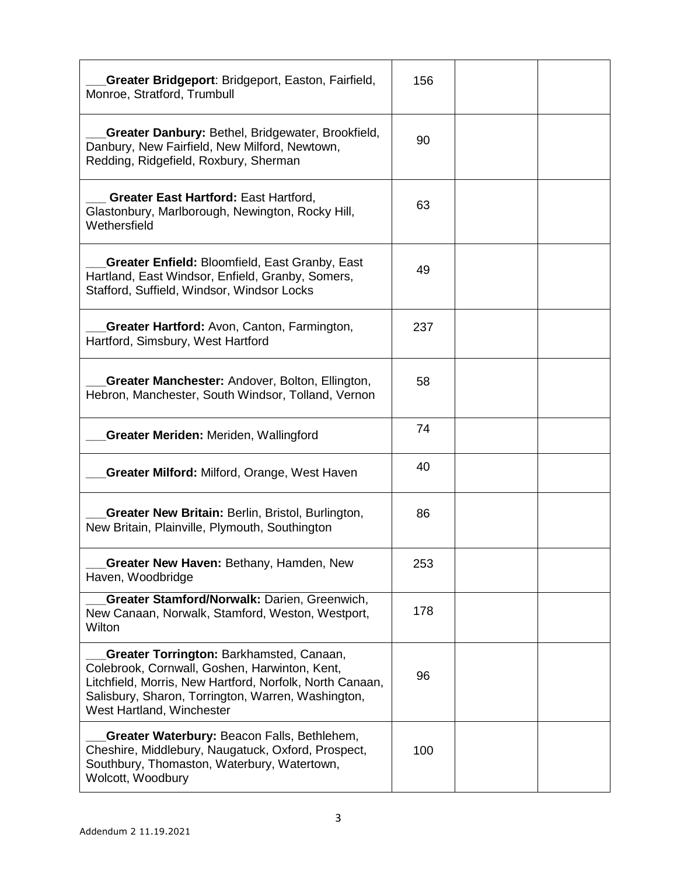| Greater Bridgeport: Bridgeport, Easton, Fairfield,<br>Monroe, Stratford, Trumbull                                                                                                                                                        | 156 |  |
|------------------------------------------------------------------------------------------------------------------------------------------------------------------------------------------------------------------------------------------|-----|--|
| <b>Greater Danbury: Bethel, Bridgewater, Brookfield,</b><br>Danbury, New Fairfield, New Milford, Newtown,<br>Redding, Ridgefield, Roxbury, Sherman                                                                                       | 90  |  |
| <b>Greater East Hartford: East Hartford,</b><br>Glastonbury, Marlborough, Newington, Rocky Hill,<br>Wethersfield                                                                                                                         | 63  |  |
| <b>Greater Enfield: Bloomfield, East Granby, East</b><br>Hartland, East Windsor, Enfield, Granby, Somers,<br>Stafford, Suffield, Windsor, Windsor Locks                                                                                  | 49  |  |
| Greater Hartford: Avon, Canton, Farmington,<br>Hartford, Simsbury, West Hartford                                                                                                                                                         | 237 |  |
| <b>Greater Manchester:</b> Andover, Bolton, Ellington,<br>Hebron, Manchester, South Windsor, Tolland, Vernon                                                                                                                             | 58  |  |
| <b>Greater Meriden: Meriden, Wallingford</b>                                                                                                                                                                                             | 74  |  |
| <b>Greater Milford: Milford, Orange, West Haven</b>                                                                                                                                                                                      | 40  |  |
| Greater New Britain: Berlin, Bristol, Burlington,<br>New Britain, Plainville, Plymouth, Southington                                                                                                                                      | 86  |  |
| Greater New Haven: Bethany, Hamden, New<br>Haven, Woodbridge                                                                                                                                                                             | 253 |  |
| Greater Stamford/Norwalk: Darien, Greenwich,<br>New Canaan, Norwalk, Stamford, Weston, Westport,<br>Wilton                                                                                                                               | 178 |  |
| Greater Torrington: Barkhamsted, Canaan,<br>Colebrook, Cornwall, Goshen, Harwinton, Kent,<br>Litchfield, Morris, New Hartford, Norfolk, North Canaan,<br>Salisbury, Sharon, Torrington, Warren, Washington,<br>West Hartland, Winchester | 96  |  |
| Greater Waterbury: Beacon Falls, Bethlehem,<br>Cheshire, Middlebury, Naugatuck, Oxford, Prospect,<br>Southbury, Thomaston, Waterbury, Watertown,<br>Wolcott, Woodbury                                                                    | 100 |  |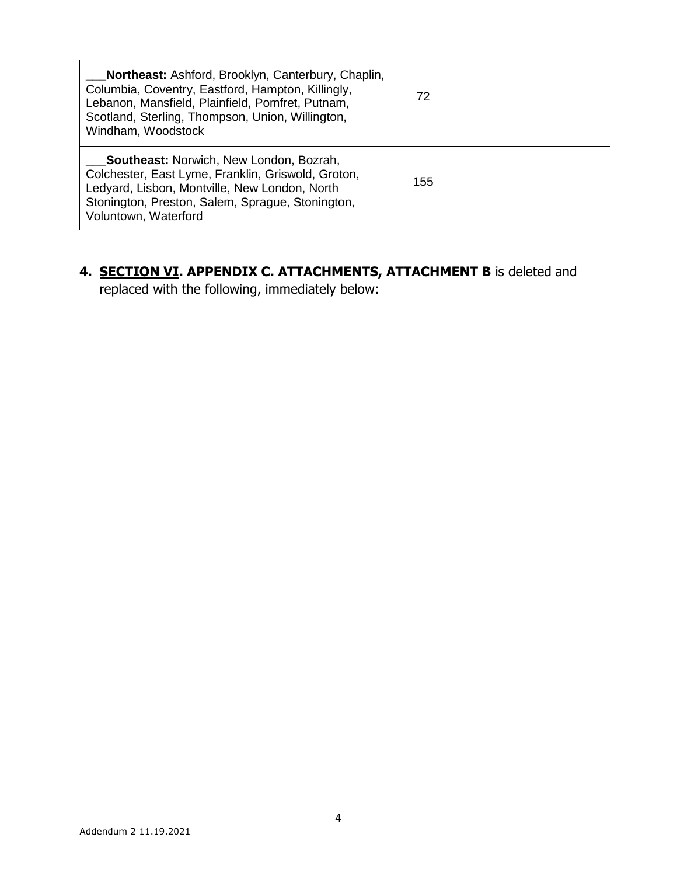| <b>Northeast:</b> Ashford, Brooklyn, Canterbury, Chaplin,<br>Columbia, Coventry, Eastford, Hampton, Killingly,<br>Lebanon, Mansfield, Plainfield, Pomfret, Putnam,<br>Scotland, Sterling, Thompson, Union, Willington,<br>Windham, Woodstock | 72  |  |
|----------------------------------------------------------------------------------------------------------------------------------------------------------------------------------------------------------------------------------------------|-----|--|
| <b>Southeast:</b> Norwich, New London, Bozrah,<br>Colchester, East Lyme, Franklin, Griswold, Groton,<br>Ledyard, Lisbon, Montville, New London, North<br>Stonington, Preston, Salem, Sprague, Stonington,<br>Voluntown, Waterford            | 155 |  |

# **4. SECTION VI. APPENDIX C. ATTACHMENTS, ATTACHMENT B** is deleted and replaced with the following, immediately below: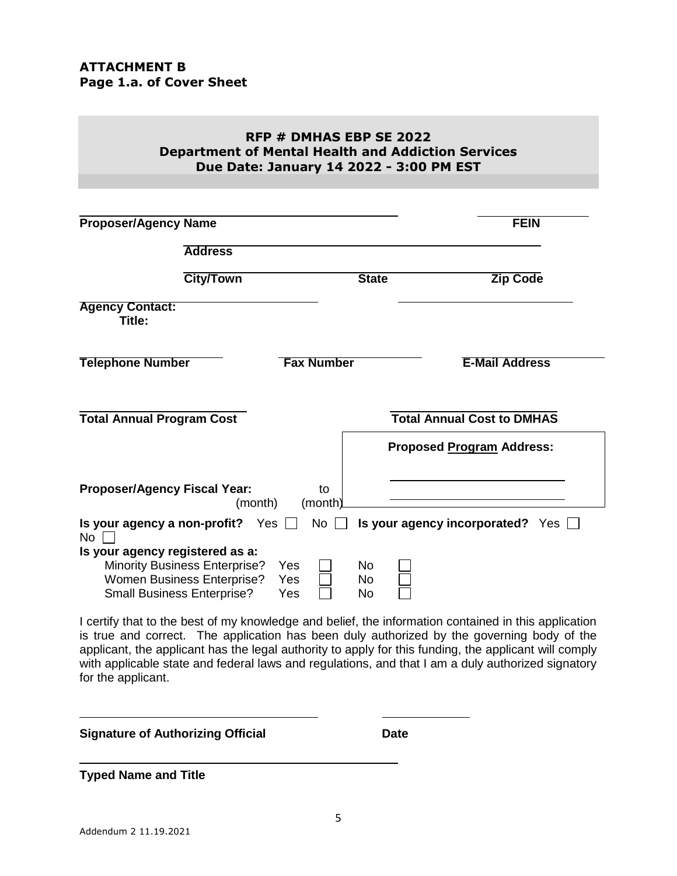### **RFP # DMHAS EBP SE 2022 Department of Mental Health and Addiction Services Due Date: January 14 2022 - 3:00 PM EST**

| <b>Proposer/Agency Name</b>                                                                                                                |                   |                  | <b>FEIN</b>                       |
|--------------------------------------------------------------------------------------------------------------------------------------------|-------------------|------------------|-----------------------------------|
|                                                                                                                                            |                   |                  |                                   |
| <b>Address</b>                                                                                                                             |                   |                  |                                   |
| <b>City/Town</b>                                                                                                                           |                   | <b>State</b>     | <b>Zip Code</b>                   |
| <b>Agency Contact:</b><br>Title:                                                                                                           |                   |                  |                                   |
| <b>Telephone Number</b>                                                                                                                    | <b>Fax Number</b> |                  | <b>E-Mail Address</b>             |
| <b>Total Annual Program Cost</b>                                                                                                           |                   |                  | <b>Total Annual Cost to DMHAS</b> |
|                                                                                                                                            |                   |                  | <b>Proposed Program Address:</b>  |
| <b>Proposer/Agency Fiscal Year:</b><br>(month)                                                                                             | to<br>(month)     |                  |                                   |
| Is your agency a non-profit? Yes $\Box$<br><b>No</b>                                                                                       | <b>No</b>         |                  | Is your agency incorporated? Yes  |
| Is your agency registered as a:<br><b>Minority Business Enterprise?</b><br>Women Business Enterprise?<br><b>Small Business Enterprise?</b> | Yes<br>Yes<br>Yes | No.<br>No.<br>No |                                   |

I certify that to the best of my knowledge and belief, the information contained in this application is true and correct. The application has been duly authorized by the governing body of the applicant, the applicant has the legal authority to apply for this funding, the applicant will comply with applicable state and federal laws and regulations, and that I am a duly authorized signatory for the applicant.

**Signature of Authorizing Official Community Community Community Community Community Community Community Community Community Community Community Community Community Community Community Community Community Community Communi** 

**Typed Name and Title**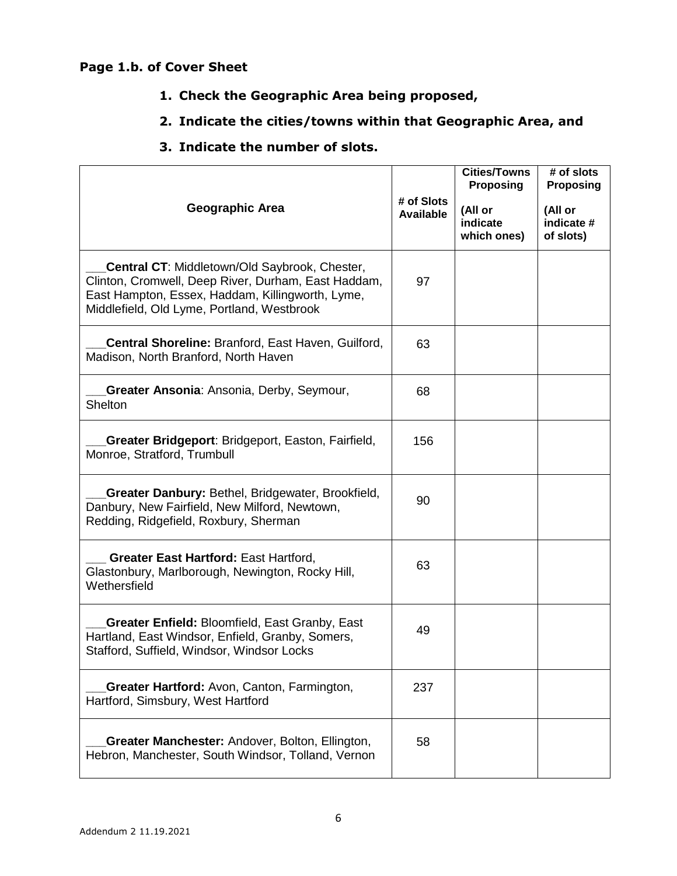# **Page 1.b. of Cover Sheet**

- **1. Check the Geographic Area being proposed,**
- **2. Indicate the cities/towns within that Geographic Area, and**
- **3. Indicate the number of slots.**

| Geographic Area                                                                                                                                                                                               | # of Slots<br><b>Available</b> | <b>Cities/Towns</b><br><b>Proposing</b><br>(All or<br>indicate<br>which ones) | # of slots<br><b>Proposing</b><br>(All or<br>indicate #<br>of slots) |
|---------------------------------------------------------------------------------------------------------------------------------------------------------------------------------------------------------------|--------------------------------|-------------------------------------------------------------------------------|----------------------------------------------------------------------|
| <b>Central CT: Middletown/Old Saybrook, Chester,</b><br>Clinton, Cromwell, Deep River, Durham, East Haddam,<br>East Hampton, Essex, Haddam, Killingworth, Lyme,<br>Middlefield, Old Lyme, Portland, Westbrook | 97                             |                                                                               |                                                                      |
| Central Shoreline: Branford, East Haven, Guilford,<br>Madison, North Branford, North Haven                                                                                                                    | 63                             |                                                                               |                                                                      |
| Greater Ansonia: Ansonia, Derby, Seymour,<br>Shelton                                                                                                                                                          | 68                             |                                                                               |                                                                      |
| Greater Bridgeport: Bridgeport, Easton, Fairfield,<br>Monroe, Stratford, Trumbull                                                                                                                             | 156                            |                                                                               |                                                                      |
| Greater Danbury: Bethel, Bridgewater, Brookfield,<br>Danbury, New Fairfield, New Milford, Newtown,<br>Redding, Ridgefield, Roxbury, Sherman                                                                   | 90                             |                                                                               |                                                                      |
| <b>Greater East Hartford: East Hartford,</b><br>Glastonbury, Marlborough, Newington, Rocky Hill,<br>Wethersfield                                                                                              | 63                             |                                                                               |                                                                      |
| <b>Greater Enfield: Bloomfield, East Granby, East</b><br>Hartland, East Windsor, Enfield, Granby, Somers,<br>Stafford, Suffield, Windsor, Windsor Locks                                                       | 49                             |                                                                               |                                                                      |
| Greater Hartford: Avon, Canton, Farmington,<br>Hartford, Simsbury, West Hartford                                                                                                                              | 237                            |                                                                               |                                                                      |
| <b>Greater Manchester: Andover, Bolton, Ellington,</b><br>Hebron, Manchester, South Windsor, Tolland, Vernon                                                                                                  | 58                             |                                                                               |                                                                      |